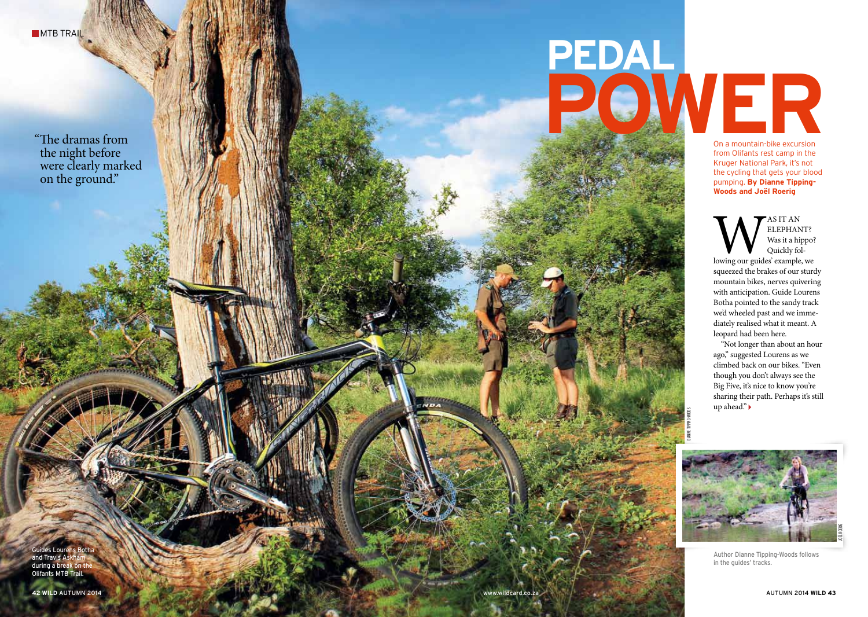MTB TRA<mark>IL</mark>

The dramas from the night before were clearly marked on the ground."

## **PEDAL** The dramas from **POWER**

dianne Tipping-Woods

On a mountain-bike excursion from Olifants rest camp in the Kruger National Park, it's not the cycling that gets your blood pumping. **By Dianne Tipping-Woods and Joël Roerig**

elephant? Was it a hippo? Quickly fol lowing our guides' example, we squeezed the brakes of our sturdy mountain bikes, nerves quivering with anticipation. Guide Lourens Botha pointed to the sandy track we'd wheeled past and we imme diately realised what it meant. A leopard had been here.

"Not longer than about an hour ago," suggested Lourens as we climbed back on our bikes. " Even though you don't always see the Big Five, it's nice to know you're sharing their path. Perhaps it's still up ahead."



Author Dianne Tipping-Woods follows in the guides' tracks.

Guides Lourens Both and Travis As during a break on Olifants MTB Trail.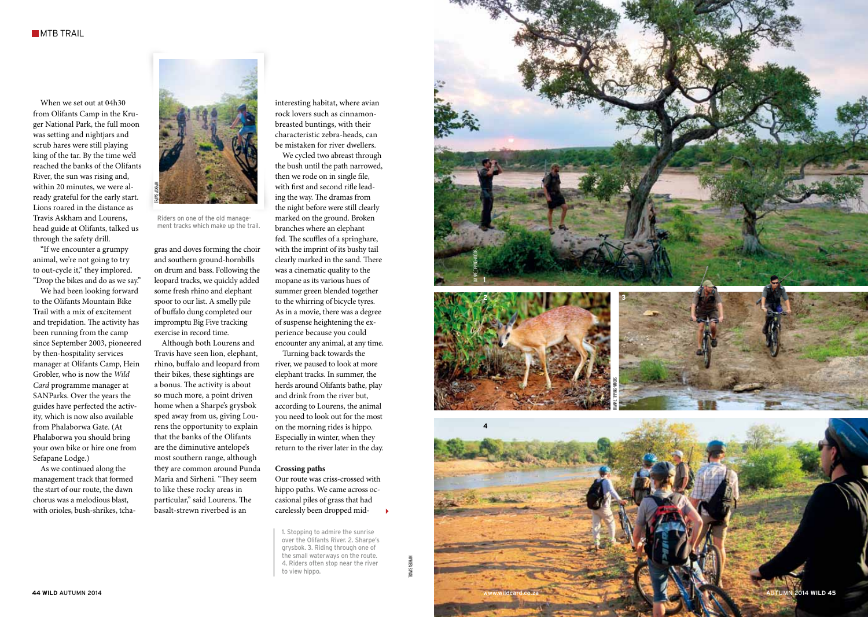When we set out at 04h30 from Olifants Camp in the Kru ger National Park, the full moon was setting and nightjars and scrub hares were still playing king of the tar. By the time we'd reached the banks of the Olifants River, the sun was rising and, within 20 minutes, we were al ready grateful for the early start. Lions roared in the distance as Travis Askham and Lourens, head guide at Olifants, talked us through the safety drill. "If we encounter a grumpy

animal, we're not going to try to out-cycle it," they implored. "Drop the bikes and do as we say."

We had been looking forward<br>to the Olifants Mountain Bike Trail with a mix of excitement and trepidation. The activity has been running from the camp since September 2003, pioneered by then-hospitality services manager at Olifants Camp, Hein Grobler, who is now the *Wild Card* programme manager at SANParks. Over the years the guides have perfected the activ ity, which is now also available from Phalaborwa Gate. ( At Phalaborwa you should bring your own bike or hire one from Sefapane Lodge.)

As we continued along the management track that formed the start of our route, the dawn chorus was a melodious blast, with orioles, bush-shrikes, tcha -



Riders on one of the old manage ment tracks which make up the trail.

gras and doves forming the choir and southern ground-hornbills on drum and bass. Following the leopard tracks, we quickly added some fresh rhino and elephant spoor to our list. A smelly pile of buffalo dung completed our impromptu Big Five tracking

exercise in record time. Although both Lourens and Travis have seen lion, elephant, rhino, buffalo and leopard from their bikes, these sightings are a bonus. The activity is about so much more, a point driven home when a Sharpe's grysbok sped away from us, giving Lou rens the opportunity to explain that the banks of the Olifants are the diminutive antelope's most southern range, although they are common around Punda Maria and Sirheni. "They seem to like these rocky areas in particular," said Lourens. The basalt-strewn riverbed is an

rock lovers such as cinnamonbreasted buntings, with their characteristic zebra-heads, can be mistaken for river dwellers. We cycled two abreast through the bush until the path narrowed, then we rode on in single file, with first and second rifle lead ing the way. The dramas from the night before were still clearly marked on the ground. Broken branches where an elephant fed. The scuffles of a springhare, with the imprint of its bushy tail clearly marked in the sand. There was a cinematic quality to the mopane as its various hues of summer green blended together<br>to the whirring of bicycle tyres. As in a movie, there was a degree of suspense heightening the ex perience because you could<br>encounter any animal, at any time.

interesting habitat, where avian

Turning back towards the river, we paused to look at more elephant tracks. In summer, the herds around Olifants bathe, play and drink from the river but, according to Lourens, the animal you need to look out for the most on the morning rides is hippo. Especially in winter, when they return to the river later in the day.

## **Crossing paths**

Our route was criss-crossed with hippo paths. We came across oc casional piles of grass that had carelessly been dropped mid-

1. Stopping to admire the sunrise over the Olifants River. 2. Sharpe's grysbok. 3. Riding through one of the small waterways on the route. 4. Riders often stop near the river to view hippo.